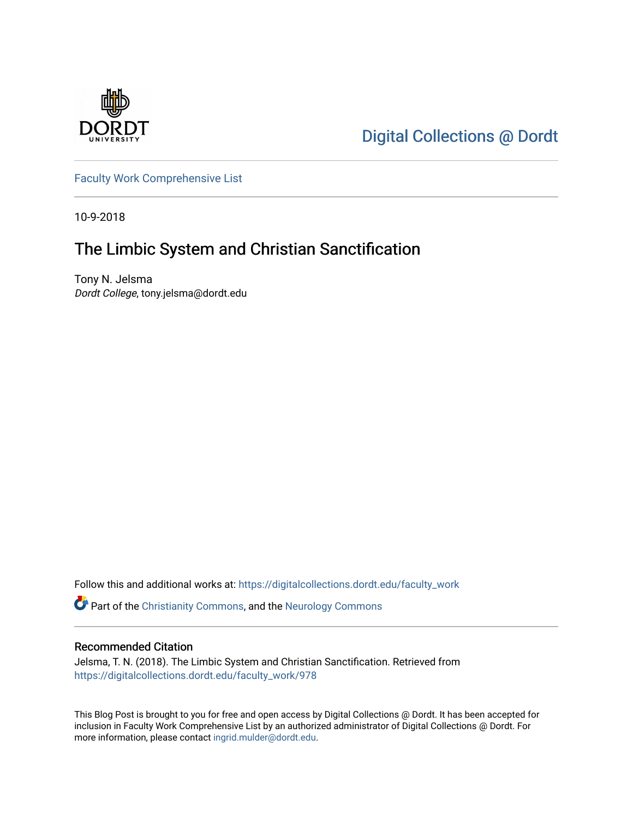

[Digital Collections @ Dordt](https://digitalcollections.dordt.edu/) 

[Faculty Work Comprehensive List](https://digitalcollections.dordt.edu/faculty_work)

10-9-2018

## The Limbic System and Christian Sanctification

Tony N. Jelsma Dordt College, tony.jelsma@dordt.edu

Follow this and additional works at: [https://digitalcollections.dordt.edu/faculty\\_work](https://digitalcollections.dordt.edu/faculty_work?utm_source=digitalcollections.dordt.edu%2Ffaculty_work%2F978&utm_medium=PDF&utm_campaign=PDFCoverPages) 

Part of the [Christianity Commons,](http://network.bepress.com/hgg/discipline/1181?utm_source=digitalcollections.dordt.edu%2Ffaculty_work%2F978&utm_medium=PDF&utm_campaign=PDFCoverPages) and the [Neurology Commons](http://network.bepress.com/hgg/discipline/692?utm_source=digitalcollections.dordt.edu%2Ffaculty_work%2F978&utm_medium=PDF&utm_campaign=PDFCoverPages) 

#### Recommended Citation

Jelsma, T. N. (2018). The Limbic System and Christian Sanctification. Retrieved from [https://digitalcollections.dordt.edu/faculty\\_work/978](https://digitalcollections.dordt.edu/faculty_work/978?utm_source=digitalcollections.dordt.edu%2Ffaculty_work%2F978&utm_medium=PDF&utm_campaign=PDFCoverPages) 

This Blog Post is brought to you for free and open access by Digital Collections @ Dordt. It has been accepted for inclusion in Faculty Work Comprehensive List by an authorized administrator of Digital Collections @ Dordt. For more information, please contact [ingrid.mulder@dordt.edu.](mailto:ingrid.mulder@dordt.edu)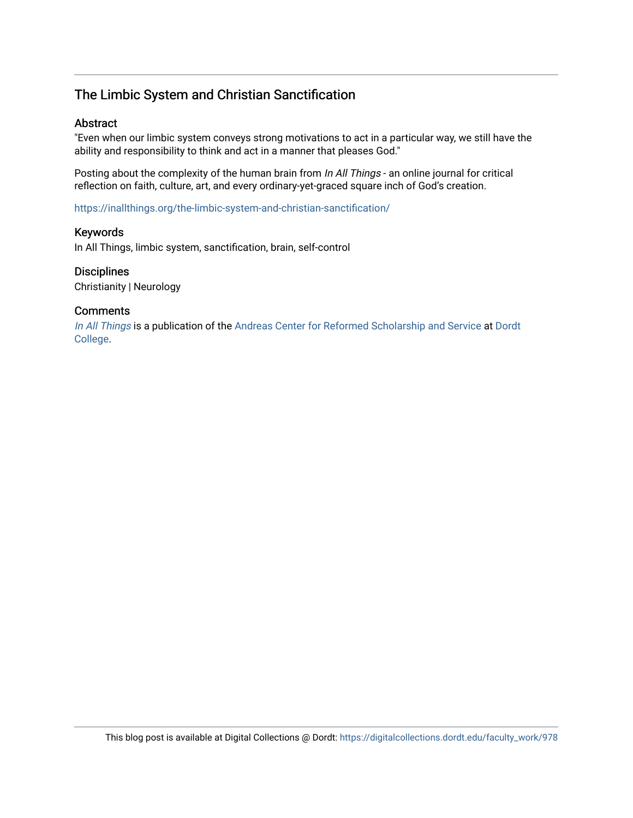### The Limbic System and Christian Sanctification

#### Abstract

"Even when our limbic system conveys strong motivations to act in a particular way, we still have the ability and responsibility to think and act in a manner that pleases God."

Posting about the complexity of the human brain from In All Things - an online journal for critical reflection on faith, culture, art, and every ordinary-yet-graced square inch of God's creation.

<https://inallthings.org/the-limbic-system-and-christian-sanctification/>

#### Keywords

In All Things, limbic system, sanctification, brain, self-control

#### **Disciplines**

Christianity | Neurology

#### **Comments**

[In All Things](http://inallthings.org/) is a publication of the [Andreas Center for Reformed Scholarship and Service](http://www.dordt.edu/services_support/andreas_center/) at Dordt [College](http://www.dordt.edu/).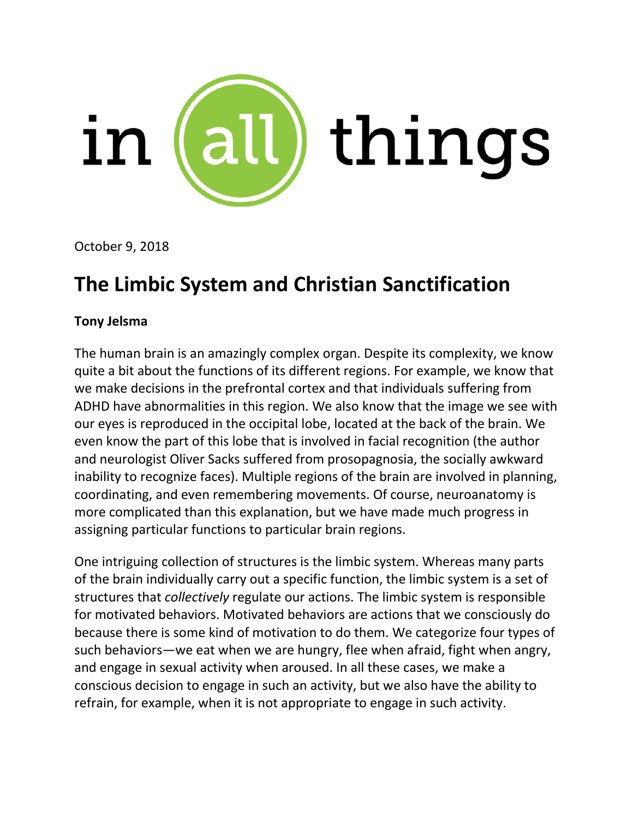

October 9, 2018

# **The Limbic System and Christian Sanctification**

## **Tony [Jelsma](https://inallthings.org/contributor/tony-jelsma/)**

The human brain is an amazingly complex organ. Despite its complexity, we know quite a bit about the functions of its different regions. For example, we know that we make decisions in the prefrontal cortex and that individuals suffering from ADHD have abnormalities in this region. We also know that the image we see with our eyes is reproduced in the occipital lobe, located at the back of the brain. We even know the part of this lobe that is involved in facial recognition (the author and neurologist Oliver Sacks suffered from prosopagnosia, the socially awkward inability to recognize faces). Multiple regions of the brain are involved in planning, coordinating, and even remembering movements. Of course, neuroanatomy is more complicated than this explanation, but we have made much progress in assigning particular functions to particular brain regions.

One intriguing collection of structures is the limbic system. Whereas many parts of the brain individually carry out a specific function, the limbic system is a set of structures that *collectively* regulate our actions. The limbic system is responsible for motivated behaviors. Motivated behaviors are actions that we consciously do because there is some kind of motivation to do them. We categorize four types of such behaviors—we eat when we are hungry, flee when afraid, fight when angry, and engage in sexual activity when aroused. In all these cases, we make a conscious decision to engage in such an activity, but we also have the ability to refrain, for example, when it is not appropriate to engage in such activity.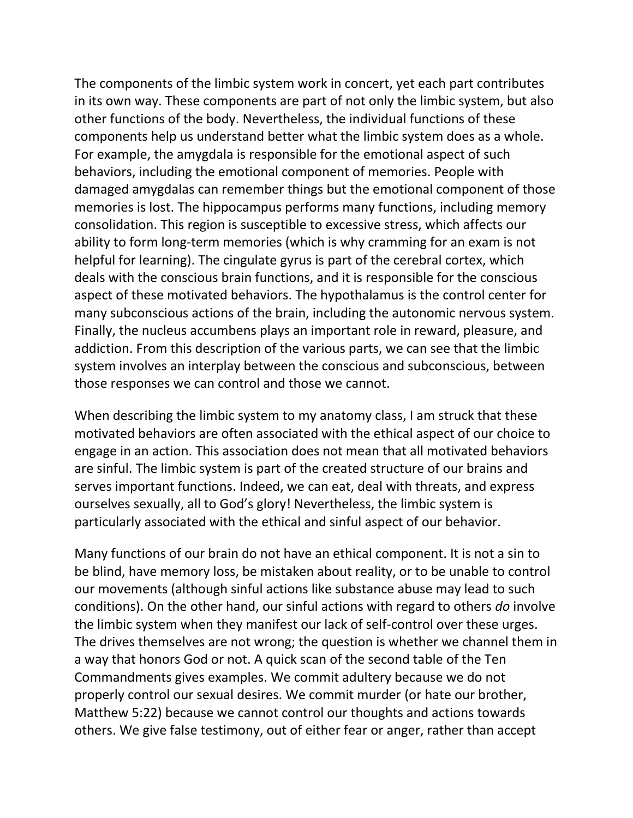The components of the limbic system work in concert, yet each part contributes in its own way. These components are part of not only the limbic system, but also other functions of the body. Nevertheless, the individual functions of these components help us understand better what the limbic system does as a whole. For example, the amygdala is responsible for the emotional aspect of such behaviors, including the emotional component of memories. People with damaged amygdalas can remember things but the emotional component of those memories is lost. The hippocampus performs many functions, including memory consolidation. This region is susceptible to excessive stress, which affects our ability to form long-term memories (which is why cramming for an exam is not helpful for learning). The cingulate gyrus is part of the cerebral cortex, which deals with the conscious brain functions, and it is responsible for the conscious aspect of these motivated behaviors. The hypothalamus is the control center for many subconscious actions of the brain, including the autonomic nervous system. Finally, the nucleus accumbens plays an important role in reward, pleasure, and addiction. From this description of the various parts, we can see that the limbic system involves an interplay between the conscious and subconscious, between those responses we can control and those we cannot.

When describing the limbic system to my anatomy class, I am struck that these motivated behaviors are often associated with the ethical aspect of our choice to engage in an action. This association does not mean that all motivated behaviors are sinful. The limbic system is part of the created structure of our brains and serves important functions. Indeed, we can eat, deal with threats, and express ourselves sexually, all to God's glory! Nevertheless, the limbic system is particularly associated with the ethical and sinful aspect of our behavior.

Many functions of our brain do not have an ethical component. It is not a sin to be blind, have memory loss, be mistaken about reality, or to be unable to control our movements (although sinful actions like substance abuse may lead to such conditions). On the other hand, our sinful actions with regard to others *do* involve the limbic system when they manifest our lack of self-control over these urges. The drives themselves are not wrong; the question is whether we channel them in a way that honors God or not. A quick scan of the second table of the Ten Commandments gives examples. We commit adultery because we do not properly control our sexual desires. We commit murder (or hate our brother, Matthew 5:22) because we cannot control our thoughts and actions towards others. We give false testimony, out of either fear or anger, rather than accept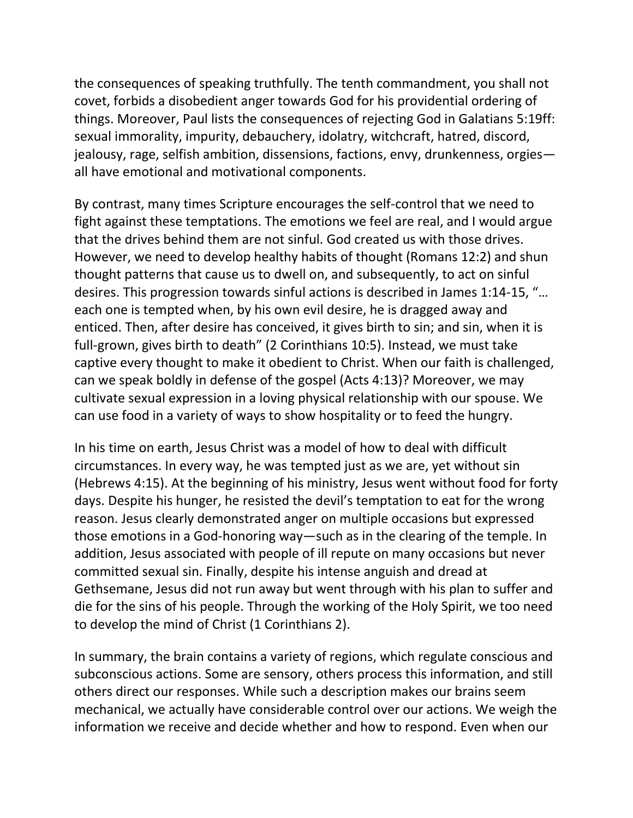the consequences of speaking truthfully. The tenth commandment, you shall not covet, forbids a disobedient anger towards God for his providential ordering of things. Moreover, Paul lists the consequences of rejecting God in Galatians 5:19ff: sexual immorality, impurity, debauchery, idolatry, witchcraft, hatred, discord, jealousy, rage, selfish ambition, dissensions, factions, envy, drunkenness, orgies all have emotional and motivational components.

By contrast, many times Scripture encourages the self-control that we need to fight against these temptations. The emotions we feel are real, and I would argue that the drives behind them are not sinful. God created us with those drives. However, we need to develop healthy habits of thought (Romans 12:2) and shun thought patterns that cause us to dwell on, and subsequently, to act on sinful desires. This progression towards sinful actions is described in James 1:14-15, "… each one is tempted when, by his own evil desire, he is dragged away and enticed. Then, after desire has conceived, it gives birth to sin; and sin, when it is full-grown, gives birth to death" (2 Corinthians 10:5). Instead, we must take captive every thought to make it obedient to Christ. When our faith is challenged, can we speak boldly in defense of the gospel (Acts 4:13)? Moreover, we may cultivate sexual expression in a loving physical relationship with our spouse. We can use food in a variety of ways to show hospitality or to feed the hungry.

In his time on earth, Jesus Christ was a model of how to deal with difficult circumstances. In every way, he was tempted just as we are, yet without sin (Hebrews 4:15). At the beginning of his ministry, Jesus went without food for forty days. Despite his hunger, he resisted the devil's temptation to eat for the wrong reason. Jesus clearly demonstrated anger on multiple occasions but expressed those emotions in a God-honoring way—such as in the clearing of the temple. In addition, Jesus associated with people of ill repute on many occasions but never committed sexual sin. Finally, despite his intense anguish and dread at Gethsemane, Jesus did not run away but went through with his plan to suffer and die for the sins of his people. Through the working of the Holy Spirit, we too need to develop the mind of Christ (1 Corinthians 2).

In summary, the brain contains a variety of regions, which regulate conscious and subconscious actions. Some are sensory, others process this information, and still others direct our responses. While such a description makes our brains seem mechanical, we actually have considerable control over our actions. We weigh the information we receive and decide whether and how to respond. Even when our